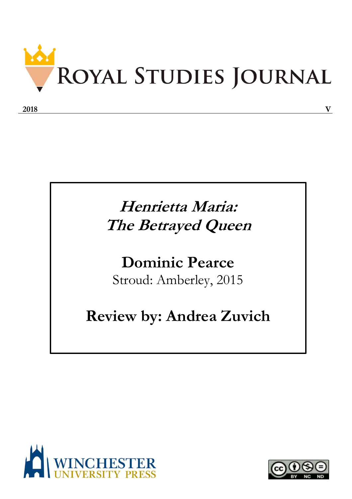

## **Henrietta Maria: The Betrayed Queen**

## **Dominic Pearce** Stroud: Amberley, 2015

## **Review by: Andrea Zuvich**



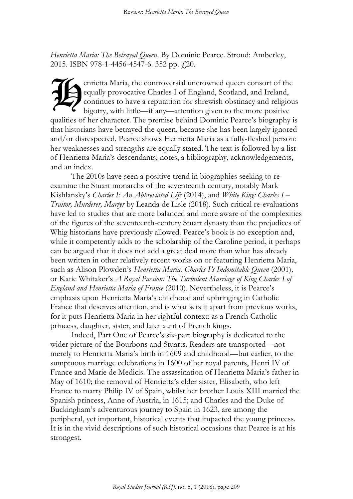*Henrietta Maria: The Betrayed Queen*. By Dominic Pearce. Stroud: Amberley, 2015. ISBN 978-1-4456-4547-6. 352 pp.  $\downarrow$ 20.

enrietta Maria, the controversial uncrowned queen consort of the equally provocative Charles I of England, Scotland, and Ireland, continues to have a reputation for shrewish obstinacy and religious bigotry, with little—if any—attention given to the more positive qualities of her character. The premise behind Dominic Pearce's biography is that historians have betrayed the queen, because she has been largely ignored and/or disrespected. Pearce shows Henrietta Maria as a fully-fleshed person: her weaknesses and strengths are equally stated. The text is followed by a list of Henrietta Maria's descendants, notes, a bibliography, acknowledgements, and an index.  $\widetilde{\mathcal{H}}$ 

The 2010s have seen a positive trend in biographies seeking to reexamine the Stuart monarchs of the seventeenth century, notably Mark Kishlansky's *Charles I: An Abbreviated Life* (2014), and *White King: Charles I – Traitor, Murderer, Martyr* by Leanda de Lisle (2018). Such critical re-evaluations have led to studies that are more balanced and more aware of the complexities of the figures of the seventeenth-century Stuart dynasty than the prejudices of Whig historians have previously allowed. Pearce's book is no exception and, while it competently adds to the scholarship of the Caroline period, it perhaps can be argued that it does not add a great deal more than what has already been written in other relatively recent works on or featuring Henrietta Maria, such as Alison Plowden's *Henrietta Maria: Charles I's Indomitable Queen* (2001)*,* or Katie Whitaker's *A Royal Passion: The Turbulent Marriage of King Charles I of England and Henrietta Maria of France* (2010). Nevertheless, it is Pearce's emphasis upon Henrietta Maria's childhood and upbringing in Catholic France that deserves attention, and is what sets it apart from previous works, for it puts Henrietta Maria in her rightful context: as a French Catholic princess, daughter, sister, and later aunt of French kings.

Indeed, Part One of Pearce's six-part biography is dedicated to the wider picture of the Bourbons and Stuarts. Readers are transported—not merely to Henrietta Maria's birth in 1609 and childhood—but earlier, to the sumptuous marriage celebrations in 1600 of her royal parents, Henri IV of France and Marie de Medicis. The assassination of Henrietta Maria's father in May of 1610; the removal of Henrietta's elder sister, Elisabeth, who left France to marry Philip IV of Spain, whilst her brother Louis XIII married the Spanish princess, Anne of Austria, in 1615; and Charles and the Duke of Buckingham's adventurous journey to Spain in 1623, are among the peripheral, yet important, historical events that impacted the young princess. It is in the vivid descriptions of such historical occasions that Pearce is at his strongest.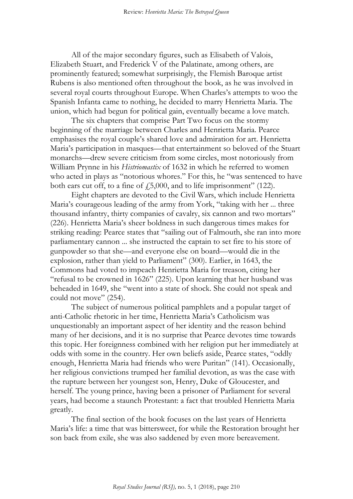All of the major secondary figures, such as Elisabeth of Valois, Elizabeth Stuart, and Frederick V of the Palatinate, among others, are prominently featured; somewhat surprisingly, the Flemish Baroque artist Rubens is also mentioned often throughout the book, as he was involved in several royal courts throughout Europe. When Charles's attempts to woo the Spanish Infanta came to nothing, he decided to marry Henrietta Maria. The union, which had begun for political gain, eventually became a love match.

The six chapters that comprise Part Two focus on the stormy beginning of the marriage between Charles and Henrietta Maria. Pearce emphasises the royal couple's shared love and admiration for art. Henrietta Maria's participation in masques—that entertainment so beloved of the Stuart monarchs—drew severe criticism from some circles, most notoriously from William Prynne in his *Histriomastix* of 1632 in which he referred to women who acted in plays as "notorious whores." For this, he "was sentenced to have both ears cut off, to a fine of  $\dot{f}$ , 5,000, and to life imprisonment" (122).

Eight chapters are devoted to the Civil Wars, which include Henrietta Maria's courageous leading of the army from York, "taking with her ... three thousand infantry, thirty companies of cavalry, six cannon and two mortars" (226). Henrietta Maria's sheer boldness in such dangerous times makes for striking reading: Pearce states that "sailing out of Falmouth, she ran into more parliamentary cannon ... she instructed the captain to set fire to his store of gunpowder so that she—and everyone else on board—would die in the explosion, rather than yield to Parliament" (300). Earlier, in 1643, the Commons had voted to impeach Henrietta Maria for treason, citing her "refusal to be crowned in 1626" (225). Upon learning that her husband was beheaded in 1649, she "went into a state of shock. She could not speak and could not move" (254).

The subject of numerous political pamphlets and a popular target of anti-Catholic rhetoric in her time, Henrietta Maria's Catholicism was unquestionably an important aspect of her identity and the reason behind many of her decisions, and it is no surprise that Pearce devotes time towards this topic. Her foreignness combined with her religion put her immediately at odds with some in the country. Her own beliefs aside, Pearce states, "oddly enough, Henrietta Maria had friends who were Puritan" (141). Occasionally, her religious convictions trumped her familial devotion, as was the case with the rupture between her youngest son, Henry, Duke of Gloucester, and herself. The young prince, having been a prisoner of Parliament for several years, had become a staunch Protestant: a fact that troubled Henrietta Maria greatly.

The final section of the book focuses on the last years of Henrietta Maria's life: a time that was bittersweet, for while the Restoration brought her son back from exile, she was also saddened by even more bereavement.